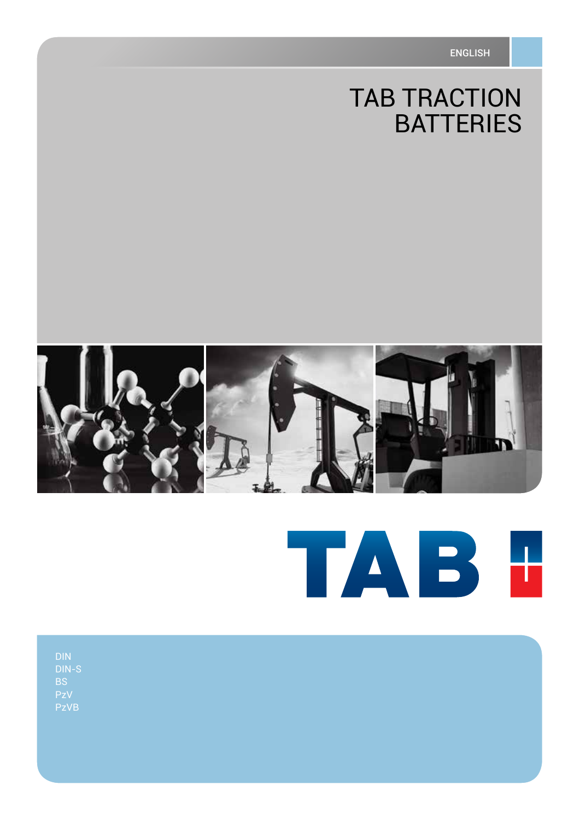# **TAB TRACTION BATTERIES**



# TAB H

| DIN<br>DIN-S<br>BS<br>PzV<br>PzVB |  |  |  |
|-----------------------------------|--|--|--|
|                                   |  |  |  |
|                                   |  |  |  |
|                                   |  |  |  |
|                                   |  |  |  |
|                                   |  |  |  |
|                                   |  |  |  |
|                                   |  |  |  |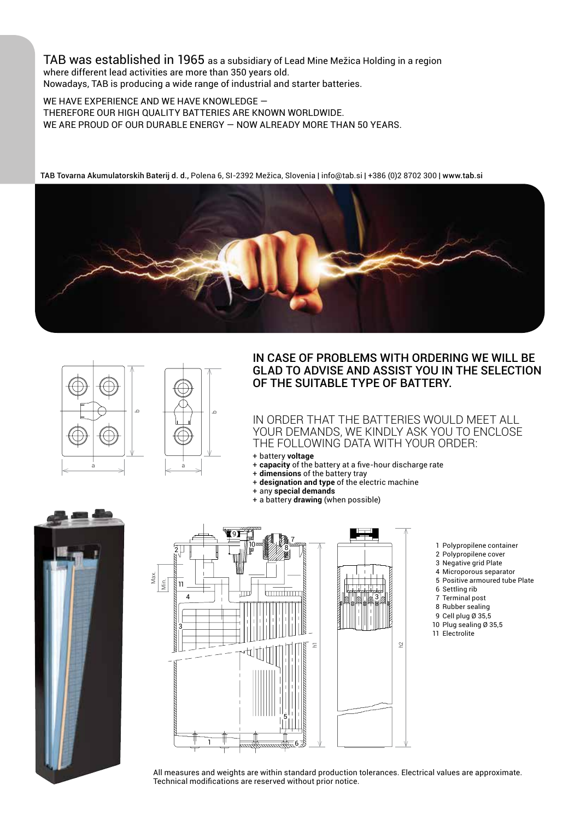TAB was established in 1965 as a subsidiary of Lead Mine Mežica Holding in a region where different lead activities are more than 350 years old. Nowadays, TAB is producing a wide range of industrial and starter batteries.

WE HAVE EXPERIENCE AND WE HAVE KNOWLEDGE therefore our high quality batteries are known worldwide. WE ARE PROUD OF OUR DURABLE ENERGY — NOW ALREADY MORE THAN 50 YEARS.

 $\circ$ 

TAB Tovarna Akumulatorskih Baterij d. d., Polena 6, SI-2392 Mežica, Slovenia | info@tab.si | +386 (0)2 8702 300 | www.tab.si





### In case of problems with ordering we will be glad to advise and assist you in the selection of the suitable type of battery.

In order that the batteries would meet all your demands, we kindly ask you to enclose the following data with your order:

h2

3

- + battery **voltage**
- + **capacity** of the battery at a five-hour discharge rate
- + **dimensions** of the battery tray
- + **designation and type** of the electric machine
- + any **special demands** + a battery **drawing** (when possible)
- 





- 1 Polypropilene container
- 2 Polypropilene cover
- 3 Negative grid Plate
- 4 Microporous separator
- 5 Positive armoured tube Plate
- 6 Settling rib
- 7 Terminal post
- 8 Rubber sealing
- 9 Cell plug Ø 35,5 10 Plug sealing Ø 35,5
- 11 Electrolite

All measures and weights are within standard production tolerances. Electrical values are approximate.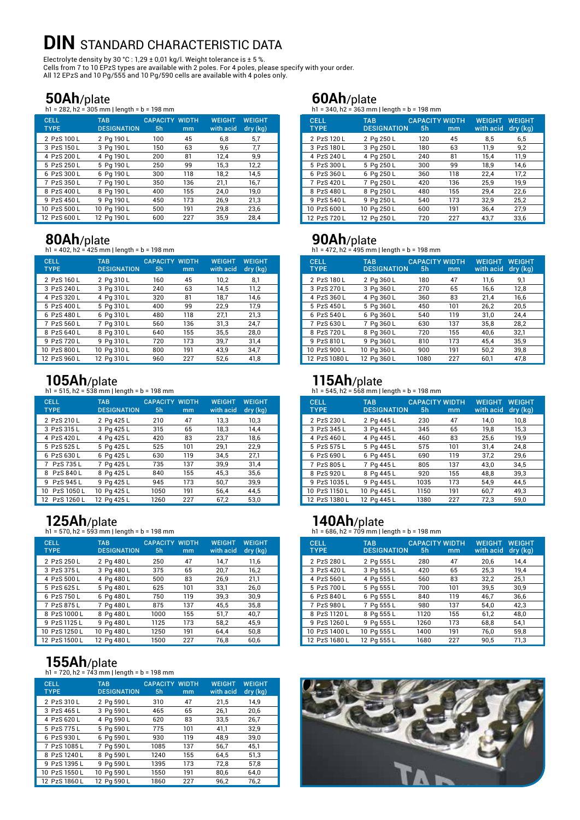# **DIN STANDARD CHARACTERISTIC DATA**

Electrolyte density by 30 °C : 1,29 ± 0,01 kg/l. Weight tolerance is  $\pm$  5 %. Cells from 7 to 10 EPzS types are available with 2 poles. For 4 poles, please specify with your order. All 12 EPzS and 10 Pg/555 and 10 Pg/590 cells are available with 4 poles only.

### **50Ah**/plate

h1 = 282, h2 = 305 mm | length = b = 198 mm

| <b>CELL</b><br><b>TYPE</b> | <b>TAB</b><br><b>DESIGNATION</b> | <b>CAPACITY WIDTH</b><br>5 <sub>h</sub> | mm  | <b>WEIGHT</b><br>with acid | <b>WEIGHT</b><br>dry (kg) |
|----------------------------|----------------------------------|-----------------------------------------|-----|----------------------------|---------------------------|
| 2 PzS 100 L                | 2 Pg 190 L                       | 100                                     | 45  | 6.8                        | 5.7                       |
| 3 PzS 150L                 | 3 Pg 190 L                       | 150                                     | 63  | 9.6                        | 7.7                       |
| 4 PzS 200 L                | 4 Pg 190 L                       | 200                                     | 81  | 12.4                       | 9.9                       |
| 5 PzS 250 L                | 5 Pg 190 L                       | 250                                     | 99  | 15,3                       | 12,2                      |
| 6 PzS 300 L                | 6 Pg 190 L                       | 300                                     | 118 | 18,2                       | 14,5                      |
| 7 PzS 350L                 | 7 Pg 190 L                       | 350                                     | 136 | 21,1                       | 16,7                      |
| 8 PzS 400 L                | 8 Pg 190 L                       | 400                                     | 155 | 24.0                       | 19.0                      |
| 9 PzS 450 L                | 9 Pg 190 L                       | 450                                     | 173 | 26.9                       | 21,3                      |
| 10 PzS 500 L               | 10 Pg 190 L                      | 500                                     | 191 | 29,8                       | 23,6                      |
| 12 PzS 600 L               | 12 Pa 190 L                      | 600                                     | 227 | 35.9                       | 28.4                      |

**80Ah/plate**<br>h1 = 402, h2 = 425 mm | length = b = 198 mm

| <b>CELL</b><br><b>TYPE</b> | <b>TAB</b><br><b>DESIGNATION</b> | <b>CAPACITY WIDTH</b><br>5 <sub>h</sub> | mm  | <b>WEIGHT</b><br>with acid | <b>WEIGHT</b><br>dry (kg) |
|----------------------------|----------------------------------|-----------------------------------------|-----|----------------------------|---------------------------|
| 2 PzS 160 L                | 2 Pg 310 L                       | 160                                     | 45  | 10,2                       | 8,1                       |
| 3 PzS 240 L                | 3 Pq 310L                        | 240                                     | 63  | 14,5                       | 11,2                      |
| 4 PzS 320 L                | 4 Pg 310 L                       | 320                                     | 81  | 18,7                       | 14,6                      |
| 5 PzS 400 L                | 5 Pq 310 L                       | 400                                     | 99  | 22,9                       | 17.9                      |
| 6 PzS 480 L                | 6 Pq 310 L                       | 480                                     | 118 | 27,1                       | 21,3                      |
| 7 PzS 560L                 | 7 Pg 310 L                       | 560                                     | 136 | 31,3                       | 24,7                      |
| 8 PzS 640 L                | 8 Pq 310 L                       | 640                                     | 155 | 35,5                       | 28,0                      |
| 9 PzS 720 L                | 9 Pq 310 L                       | 720                                     | 173 | 39,7                       | 31,4                      |
| 10 PzS 800 L               | 10 Pg 310 L                      | 800                                     | 191 | 43.9                       | 34,7                      |
| 12 PzS 960 L               | 12 Pa 310 L                      | 960                                     | 227 | 52.6                       | 41,8                      |

# **105Ah**/plate<br>h1 = 515, h2 = 538 mm | length = b = 198 mm

CELL TAB CAPACITY\_WIDTH WEIGHT WEIGHT<br>TYPE DESIGNATION 5h mm withacid dry (kg) DESIGNATION 5h mm with acid 2 PzS 210 L 2 Pg 425 L 210 47 13,3 10,3<br>3 PzS 315 L 3 Pg 425 L 315 65 18,3 14,4 3 PzS 315 L 3 Pg 425 L 315 65 18,3 14,4<br>4 PzS 420 L 4 Pg 425 L 420 83 23.7 18.6 4 Pg 425 L 420 83 23,7 5 PzS 525 L 5 Pg 425 L 525 101 29,1 22,9 6 PzS 630 L 6 Pg 425 L 630 119 34,5 27,1 7 PzS 735 L 7 Pg 425 L 735 137 39,9 31,4<br>8 PzS 840 L 8 Pg 425 L 840 155 45,3 35,6 8 PzS 840 L 8 Pg 425 L 840 155 45,3<br>9 PzS 945 L 9 Pg 425 L 945 173 50.7 9 Pg 425 L 945 173 50,7 39,9 10 PzS 1050 L 10 Pg 425 L 1050 191 56,4 44,5<br>12 PzS 1260 L 12 Pg 425 L 1260 227 67,2 53,0

12 PzS 1260 L 12 Pg 425 L 1260 227 67,2 53,0

**125Ah/plate**<br>h1 = 570, h2 = 593 mm | length = b = 198 mm

| <b>CELL</b><br><b>TYPE</b> | <b>TAB</b><br><b>DESIGNATION</b> | <b>CAPACITY WIDTH</b><br>5 <sub>h</sub> | mm  | <b>WEIGHT</b><br>with acid | <b>WEIGHT</b><br>dry (kg) |
|----------------------------|----------------------------------|-----------------------------------------|-----|----------------------------|---------------------------|
| 2 PzS 250 L                | 2 Pg 480 L                       | 250                                     | 47  | 14.7                       | 11.6                      |
| 3 PzS 375 L                | 3 Pq 480 L                       | 375                                     | 65  | 20.7                       | 16,2                      |
| 4 PzS 500 L                | 4 Pg 480 L                       | 500                                     | 83  | 26.9                       | 21,1                      |
| 5 PzS 625 L                | 5 Pq 480 L                       | 625                                     | 101 | 33.1                       | 26,0                      |
| 6 PzS 750 L                | 6 Pg 480 L                       | 750                                     | 119 | 39.3                       | 30.9                      |
| 7 PzS 875 L                | 7 Pg 480 L                       | 875                                     | 137 | 45.5                       | 35.8                      |
| 8 PzS 1000 L               | 8 Pg 480 L                       | 1000                                    | 155 | 51,7                       | 40.7                      |
| 9 PzS 1125 L               | 9 Pg 480 L                       | 1125                                    | 173 | 58.2                       | 45.9                      |
| 10 PzS 1250 L              | 10 Pg 480 L                      | 1250                                    | 191 | 64.4                       | 50.8                      |
| 12 PzS 1500 L              | 12 Pa 480 L                      | 1500                                    | 227 | 76.8                       | 60.6                      |

# **155Ah/plate**<br>h1 = 720, h2 = 743 mm | length = b = 198 mm

| <b>CELL</b><br><b>TYPE</b> | <b>TAB</b><br><b>DESIGNATION</b> | <b>CAPACITY WIDTH</b><br>5 <sub>h</sub> | mm  | <b>WEIGHT</b><br>with acid | <b>WEIGHT</b><br>dry (kg) |
|----------------------------|----------------------------------|-----------------------------------------|-----|----------------------------|---------------------------|
| 2 PzS 310 L                | 2 Pg 590 L                       | 310                                     | 47  | 21,5                       | 14.9                      |
| 3 PzS 465 L                | 3 Pq 590L                        | 465                                     | 65  | 26,1                       | 20,6                      |
| 4 PzS 620 L                | 4 Pg 590 L                       | 620                                     | 83  | 33,5                       | 26,7                      |
| 5 PzS 775 L                | 5 Pq 590 L                       | 775                                     | 101 | 41,1                       | 32,9                      |
| 6 PzS 930 L                | 6 Pg 590 L                       | 930                                     | 119 | 48.9                       | 39.0                      |
| 7 PzS 1085 L               | 7 Pg 590 L                       | 1085                                    | 137 | 56,7                       | 45.1                      |
| 8 PzS 1240 L               | 8 Pg 590 L                       | 1240                                    | 155 | 64.5                       | 51,3                      |
| 9 PzS 1395 L               | 9 Pg 590 L                       | 1395                                    | 173 | 72.8                       | 57.8                      |
| 10 PzS 1550 L              | 10 Pg 590 L                      | 1550                                    | 191 | 80.6                       | 64.0                      |
| 12 PzS 1860 L              | 12 Pg 590 L                      | 1860                                    | 227 | 96.2                       | 76.2                      |

**60Ah/plate**<br>h1 = 340, h2 = 363 mm | length = b = 198 mm

| <b>CELL</b><br><b>TYPE</b> | <b>TAB</b><br><b>DESIGNATION</b> | 5h  | <b>CAPACITY WIDTH</b><br>mm | <b>WEIGHT</b><br>with acid | <b>WEIGHT</b><br>dry (kg) |
|----------------------------|----------------------------------|-----|-----------------------------|----------------------------|---------------------------|
| 2 PzS 120 L                | 2 Pg 250 L                       | 120 | 45                          | 8.5                        | 6,5                       |
| 3 PzS 180 L                | 3 Pq 250 L                       | 180 | 63                          | 11.9                       | 9.2                       |
| 4 PzS 240 L                | 4 Pg 250 L                       | 240 | 81                          | 15.4                       | 11,9                      |
| 5 PzS 300 L                | 5 Pq 250 L                       | 300 | 99                          | 18.9                       | 14,6                      |
| 6 PzS 360 L                | 6 Pg 250 L                       | 360 | 118                         | 22.4                       | 17,2                      |
| 7 PzS 420 L                | 7 Pg 250 L                       | 420 | 136                         | 25.9                       | 19.9                      |
| 8 PzS 480 L                | 8 Pq 250 L                       | 480 | 155                         | 29.4                       | 22.6                      |
| 9 PzS 540 L                | 9 Pg 250 L                       | 540 | 173                         | 32.9                       | 25,2                      |
| 10 PzS 600 L               | 10 Pg 250 L                      | 600 | 191                         | 36.4                       | 27.9                      |
| 12 PzS 720 L               | 12 Pg 250 L                      | 720 | 227                         | 43.7                       | 33.6                      |

**90Ah/plate**<br>h1 = 472, h2 = 495 mm | length = b = 198 mm

| CELL.<br><b>TYPE</b> | <b>TAB</b><br><b>DESIGNATION</b> | 5h   | <b>CAPACITY WIDTH</b><br>mm | <b>WEIGHT</b><br>with acid | <b>WEIGHT</b><br>dry (kg) |
|----------------------|----------------------------------|------|-----------------------------|----------------------------|---------------------------|
| 2 PzS 180 L          | 2 Pq 360 L                       | 180  | 47                          | 11.6                       | 9,1                       |
| 3 PzS 270 L          | 3 Pq 360 L                       | 270  | 65                          | 16,6                       | 12,8                      |
| 4 PzS 360 L          | 4 Pg 360 L                       | 360  | 83                          | 21.4                       | 16,6                      |
| 5 PzS 450 L          | 5 Pq 360 L                       | 450  | 101                         | 26,2                       | 20,5                      |
| 6 PzS 540 L          | 6 Pg 360 L                       | 540  | 119                         | 31.0                       | 24.4                      |
| 7 PzS 630 L          | 7 Pg 360 L                       | 630  | 137                         | 35.8                       | 28,2                      |
| 8 PzS 720 L          | 8 Pq 360L                        | 720  | 155                         | 40.6                       | 32.1                      |
| 9 PzS 810L           | 9 Pq 360 L                       | 810  | 173                         | 45.4                       | 35.9                      |
| 10 PzS 900 L         | 10 Pg 360 L                      | 900  | 191                         | 50.2                       | 39.8                      |
| 12 PzS 1080 L        | 12 Pa 360 L                      | 1080 | 227                         | 60.1                       | 47.8                      |

# **115Ah/plate**<br>h1 = 545, h2 = 568 mm | length = b = 198 mm

| <b>CELL</b><br><b>TYPE</b> | <b>TAB</b><br><b>DESIGNATION</b> | <b>CAPACITY WIDTH</b><br>5 <sub>h</sub> | mm  | <b>WEIGHT</b><br>with acid | <b>WEIGHT</b><br>dry (kg) |
|----------------------------|----------------------------------|-----------------------------------------|-----|----------------------------|---------------------------|
| 2 PzS 230 L                | 2 Pg 445 L                       | 230                                     | 47  | 14,0                       | 10,8                      |
| 3 PzS 345 L                | 3 Pg 445 L                       | 345                                     | 65  | 19.8                       | 15.3                      |
| 4 PzS 460 L                | 4 Pg 445 L                       | 460                                     | 83  | 25,6                       | 19.9                      |
| 5 PzS 575 L                | 5 Pg 445 L                       | 575                                     | 101 | 31,4                       | 24,8                      |
| 6 PzS 690 L                | 6 Pg 445 L                       | 690                                     | 119 | 37,2                       | 29,6                      |
| 7 PzS 805 L                | 7 Pg 445 L                       | 805                                     | 137 | 43.0                       | 34.5                      |
| 8 PzS 920L                 | 8 Pg 445 L                       | 920                                     | 155 | 48,8                       | 39,3                      |
| 9 PzS 1035 L               | 9 Pg 445 L                       | 1035                                    | 173 | 54.9                       | 44.5                      |
| 10 PzS 1150 L              | 10 Pg 445 L                      | 1150                                    | 191 | 60.7                       | 49.3                      |
| 12 PzS 1380 L              | 12 Pa 445 L                      | 1380                                    | 227 | 72,3                       | 59.0                      |

**140Ah/plate**<br>h1 = 686, h2 = 709 mm | length = b = 198 mm

| <b>CELL</b><br><b>TYPE</b> | <b>TAB</b><br><b>DESIGNATION</b> | 5 <sub>h</sub> | <b>CAPACITY WIDTH</b><br>mm | <b>WEIGHT</b><br>with acid | <b>WEIGHT</b><br>dry (kg) |
|----------------------------|----------------------------------|----------------|-----------------------------|----------------------------|---------------------------|
| 2 PzS 280 L                | 2 Pg 555 L                       | 280            | 47                          | 20.6                       | 14.4                      |
| 3 PzS 420 L                | 3 Pq 555 L                       | 420            | 65                          | 25,3                       | 19.4                      |
| 4 PzS 560 L                | 4 Pg 555 L                       | 560            | 83                          | 32,2                       | 25.1                      |
| 5 PzS 700 L                | 5 Pq 555 L                       | 700            | 101                         | 39.5                       | 30.9                      |
| 6 PzS 840 L                | 6 Pg 555 L                       | 840            | 119                         | 46.7                       | 36,6                      |
| 7 PzS 980 L                | 7 Pg 555 L                       | 980            | 137                         | 54.0                       | 42.3                      |
| 8 PzS 1120 L               | 8 Pg 555 L                       | 1120           | 155                         | 61.2                       | 48.0                      |
| 9 PzS 1260 L               | 9 Pg 555 L                       | 1260           | 173                         | 68.8                       | 54.1                      |
| 10 PzS 1400 L              | 10 Pg 555 L                      | 1400           | 191                         | 76.0                       | 59.8                      |
| 12 PzS 1680 L              | 12 Pg 555 L                      | 1680           | 227                         | 90.5                       | 71.3                      |

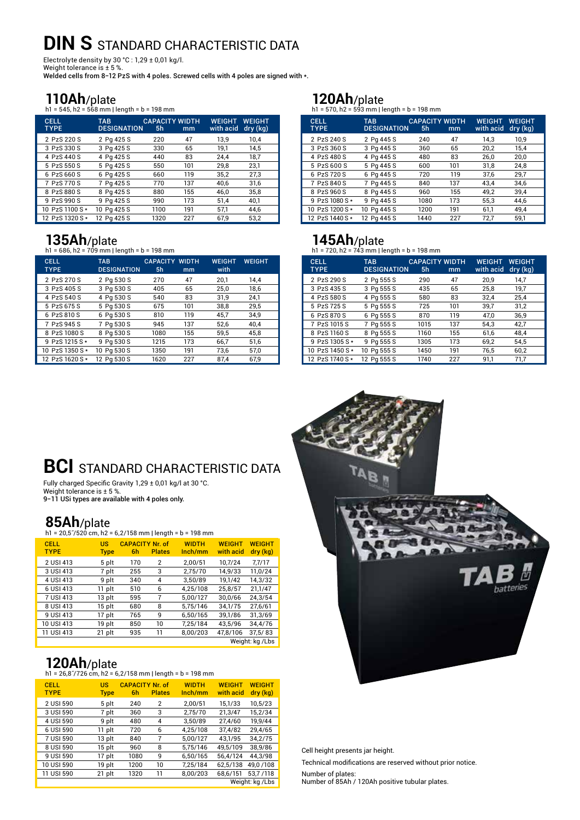# **DIN S STANDARD CHARACTERISTIC DATA**

Electrolyte density by  $30 °C$  : 1,29  $\pm$  0,01 kg/l.

Weight tolerance is ± 5 %. Welded cells from 8-12 PzS with 4 poles. Screwed cells with 4 poles are signed with \*.

**110Ah**/plate<br>h1 = 545, h2 = 568 mm | length = b = 198 mm

| <b>CELL</b><br><b>TYPE</b> | <b>TAB</b><br><b>DESIGNATION</b> | 5 <sub>h</sub> | <b>CAPACITY WIDTH</b><br>mm | <b>WEIGHT</b><br>with acid | <b>WEIGHT</b><br>dry (kg) |
|----------------------------|----------------------------------|----------------|-----------------------------|----------------------------|---------------------------|
| 2 PzS 220 S                | 2 Pg 425 S                       | 220            | 47                          | 13.9                       | 10.4                      |
| 3 PzS 330 S                | 3 Pg 425 S                       | 330            | 65                          | 19.1                       | 14.5                      |
| 4 PzS 440 S                | 4 Pg 425 S                       | 440            | 83                          | 24.4                       | 18,7                      |
| 5 PzS 550 S                | 5 Pg 425 S                       | 550            | 101                         | 29,8                       | 23,1                      |
| 6 PzS 660 S                | 6 Pg 425 S                       | 660            | 119                         | 35.2                       | 27.3                      |
| 7 PzS 770 S                | 7 Pg 425 S                       | 770            | 137                         | 40.6                       | 31.6                      |
| 8 PzS 880 S                | 8 Pg 425 S                       | 880            | 155                         | 46.0                       | 35,8                      |
| 9 PzS 990 S                | 9 Pg 425 S                       | 990            | 173                         | 51.4                       | 40.1                      |
| 10 PzS 1100 S *            | 10 Pg 425 S                      | 1100           | 191                         | 57.1                       | 44.6                      |
| 12 PzS 1320 S *            | 12 Pg 425 S                      | 1320           | 227                         | 67.9                       | 53.2                      |

**135Ah/plate**<br>h1 = 686, h2 = 709 mm | length = b = 198 mm

| <b>CELL</b><br><b>TYPE</b> | <b>TAB</b><br><b>DESIGNATION</b> | <b>CAPACITY WIDTH</b><br>5 <sub>h</sub> | mm  | <b>WEIGHT</b><br>with | <b>WEIGHT</b> |
|----------------------------|----------------------------------|-----------------------------------------|-----|-----------------------|---------------|
| 2 PzS 270 S                | 2 Pg 530 S                       | 270                                     | 47  | 20,1                  | 14.4          |
| 3 PzS 405 S                | 3 Pq 530 S                       | 405                                     | 65  | 25,0                  | 18,6          |
| 4 PzS 540 S                | 4 Pg 530 S                       | 540                                     | 83  | 31,9                  | 24,1          |
| 5 PzS 675 S                | 5 Pq 530 S                       | 675                                     | 101 | 38,8                  | 29,5          |
| 6 PzS 810 S                | 6 Pq 530 S                       | 810                                     | 119 | 45,7                  | 34,9          |
| 7 PzS 945 S                | 7 Pg 530 S                       | 945                                     | 137 | 52,6                  | 40.4          |
| 8 PzS 1080 S               | 8 Pq 530 S                       | 1080                                    | 155 | 59,5                  | 45,8          |
| 9 PzS 1215 S *             | 9 Pg 530 S                       | 1215                                    | 173 | 66,7                  | 51,6          |
| 10 PzS 1350 S*             | 10 Pg 530 S                      | 1350                                    | 191 | 73.6                  | 57.0          |
| 12 PzS 1620 S*             | 12 Pa 530 S                      | 1620                                    | 227 | 87.4                  | 67.9          |

**120Ah/plate**<br>h1 = 570, h2 = 593 mm | length = b = 198 mm

| <b>CELL</b><br><b>TYPE</b> | <b>TAB</b><br><b>DESIGNATION</b> | <b>CAPACITY WIDTH</b><br>5 <sub>h</sub> | mm  | <b>WEIGHT</b><br>with acid | <b>WEIGHT</b><br>dry (kg) |
|----------------------------|----------------------------------|-----------------------------------------|-----|----------------------------|---------------------------|
| 2 PzS 240 S                | 2 Pg 445 S                       | 240                                     | 47  | 14.3                       | 10,9                      |
| 3 PzS 360 S                | 3 Pg 445 S                       | 360                                     | 65  | 20,2                       | 15,4                      |
| 4 PzS 480 S                | 4 Pg 445 S                       | 480                                     | 83  | 26,0                       | 20,0                      |
| 5 PzS 600 S                | 5 Pg 445 S                       | 600                                     | 101 | 31,8                       | 24,8                      |
| 6 PzS 720 S                | 6 Pg 445 S                       | 720                                     | 119 | 37,6                       | 29,7                      |
| 7 PzS 840 S                | 7 Pg 445 S                       | 840                                     | 137 | 43.4                       | 34.6                      |
| 8 PzS 960 S                | 8 Pg 445 S                       | 960                                     | 155 | 49,2                       | 39,4                      |
| 9 PzS 1080 S *             | 9 Pg 445 S                       | 1080                                    | 173 | 55,3                       | 44,6                      |
| 10 PzS 1200 S *            | 10 Pg 445 S                      | 1200                                    | 191 | 61,1                       | 49.4                      |
| 12 PzS 1440 S *            | 12 Pg 445 S                      | 1440                                    | 227 | 72,7                       | 59,1                      |

# **145Ah/plate**<br>h1 = 720, h2 = 743 mm | length = b = 198 mm

| <b>CELL</b><br><b>TYPE</b> | <b>TAB</b><br><b>DESIGNATION</b> | <b>CAPACITY WIDTH</b><br>5h | mm  | <b>WEIGHT</b><br>with acid | WEIGHT<br>dry (kg) |
|----------------------------|----------------------------------|-----------------------------|-----|----------------------------|--------------------|
| 2 PzS 290 S                | 2 Pg 555 S                       | 290                         | 47  | 20,9                       | 14,7               |
| 3 PzS 435 S                | 3 Pq 555 S                       | 435                         | 65  | 25,8                       | 19,7               |
| 4 PzS 580 S                | 4 Pg 555 S                       | 580                         | 83  | 32.4                       | 25.4               |
| 5 PzS 725 S                | 5 Pq 555 S                       | 725                         | 101 | 39,7                       | 31,2               |
| 6 PzS 870 S                | 6 Pq 555 S                       | 870                         | 119 | 47,0                       | 36,9               |
| 7 PzS 1015 S               | 7 Pg 555 S                       | 1015                        | 137 | 54.3                       | 42,7               |
| 8 PzS 1160 S               | 8 Pq 555 S                       | 1160                        | 155 | 61.6                       | 48,4               |
| 9 PzS 1305 S *             | 9 Pg 555 S                       | 1305                        | 173 | 69,2                       | 54.5               |
| 10 PzS 1450 S *            | 10 Pg 555 S                      | 1450                        | 191 | 76,5                       | 60,2               |
| 12 PzS 1740 S *            | 12 Pg 555 S                      | 1740                        | 227 | 91,1                       | 71.7               |

# **BCI** STANDARD CHARACTERISTIC DATA

Fully charged Specific Gravity 1,29 ± 0,01 kg/l at 30 °C. Weight tolerance is ± 5 %. 9−11 USi types are available with 4 poles only.

# **85Ah/plate**<br>h1 = 20,57/520 cm, h2 = 6,2/158 mm | length = b = 198 mm

| $n_1 = 20.5$ /520 cm, n2 = 6,2/ 158 mm   lengtn = b = 198 mm |                          |                              |                |                         |                            |                           |  |
|--------------------------------------------------------------|--------------------------|------------------------------|----------------|-------------------------|----------------------------|---------------------------|--|
| <b>CELL</b><br><b>TYPE</b>                                   | <b>US</b><br><b>Type</b> | <b>CAPACITY Nr. of</b><br>6h | <b>Plates</b>  | <b>WIDTH</b><br>lnch/mm | <b>WEIGHT</b><br>with acid | <b>WEIGHT</b><br>dry (kg) |  |
| 2 USI 413                                                    | 5 plt                    | 170                          | $\overline{2}$ | 2.00/51                 | 10.7/24                    | 7,7/17                    |  |
| 3 USI 413                                                    | 7 plt                    | 255                          | 3              | 2.75/70                 | 14.9/33                    | 11.0/24                   |  |
| 4 USI 413                                                    | 9 plt                    | 340                          | 4              | 3,50/89                 | 19.1/42                    | 14,3/32                   |  |
| 6 USI 413                                                    | 11 plt                   | 510                          | 6              | 4,25/108                | 25.8/57                    | 21.1/47                   |  |
| 7 USI 413                                                    | 13 plt                   | 595                          | 7              | 5.00/127                | 30.0/66                    | 24.3/54                   |  |
| 8 USI 413                                                    | 15 plt                   | 680                          | 8              | 5.75/146                | 34.1/75                    | 27.6/61                   |  |
| 9 USI 413                                                    | 17 plt                   | 765                          | 9              | 6,50/165                | 39.1/86                    | 31,3/69                   |  |
| 10 USI 413                                                   | 19 plt                   | 850                          | 10             | 7,25/184                | 43.5/96                    | 34,4/76                   |  |
| 11 USI 413                                                   | 21 plt                   | 935                          | 11             | 8.00/203                | 47.8/106                   | 37,5/83                   |  |
|                                                              |                          |                              |                |                         |                            | Weight: kg /Lbs           |  |

**120Ah**/plate<br>h1 = 26,8<sup>7</sup>/726 cm, h2 = 6,2/158 mm | length = b = 198 mm

| <b>CELL</b><br><b>TYPE</b> | US<br><b>Type</b> | <b>CAPACITY Nr of</b><br>6h | <b>Plates</b> | <b>WIDTH</b><br>lnch/mm | <b>WEIGHT</b><br>with acid | <b>WEIGHT</b><br>dry (kg) |
|----------------------------|-------------------|-----------------------------|---------------|-------------------------|----------------------------|---------------------------|
| 2 USI 590                  | 5 plt             | 240                         | $\mathbf{2}$  | 2.00/51                 | 15.1/33                    | 10.5/23                   |
| 3 USI 590                  | 7 plt             | 360                         | 3             | 2,75/70                 | 21,3/47                    | 15,2/34                   |
| 4 USI 590                  | 9 plt             | 480                         | 4             | 3.50/89                 | 27.4/60                    | 19.9/44                   |
| 6 USI 590                  | 11 plt            | 720                         | 6             | 4,25/108                | 37,4/82                    | 29,4/65                   |
| 7 USI 590                  | 13 plt            | 840                         | 7             | 5.00/127                | 43.1/95                    | 34.2/75                   |
| 8 USI 590                  | 15 plt            | 960                         | 8             | 5.75/146                | 49.5/109                   | 38.9/86                   |
| 9 USI 590                  | 17 plt            | 1080                        | 9             | 6.50/165                | 56.4/124                   | 44.3/98                   |
| 10 USI 590                 | 19 plt            | 1200                        | 10            | 7,25/184                | 62.5/138                   | 49,0 / 108                |
| 11 USI 590                 | 21 plt            | 1320                        | 11            | 8.00/203                | 68,6/151                   | 53,7/118                  |
|                            |                   |                             |               |                         |                            | Weight: kg / Lbs          |



Cell height presents jar height.

Technical modifications are reserved without prior notice.

Number of plates: Number of 85Ah / 120Ah positive tubular plates.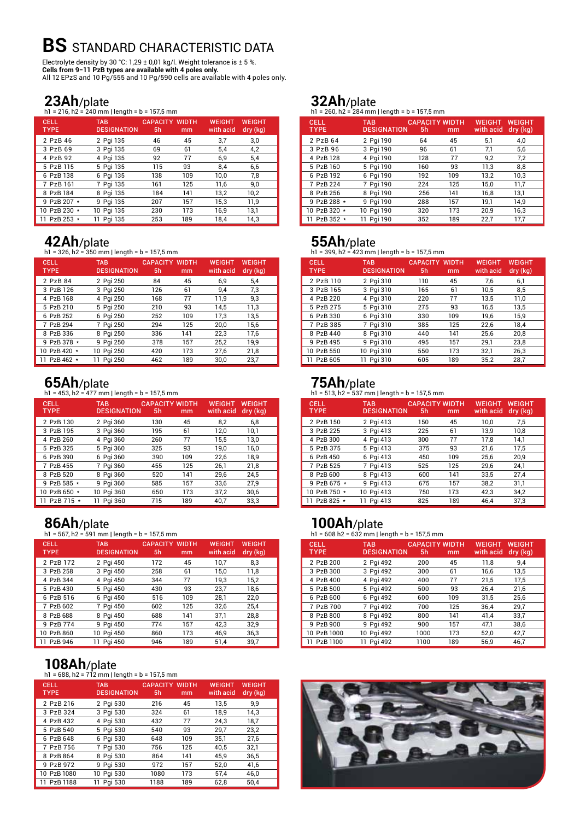# **BS** STANDARD CHARACTERISTIC DATA

Electrolyte density by 30 °C: 1,29 ± 0,01 kg/l. Weight tolerance is ± 5 %. **Cells from 9−11 PzB types are available with 4 poles only.** All 12 EPzS and 10 Pg/555 and 10 Pg/590 cells are available with 4 poles only.

### **23Ah**/plate

h1 = 216, h2 = 240 mm | length = b = 157,5 mm

| <b>CELL</b><br><b>TYPE</b> | <b>TAB</b><br><b>DESIGNATION</b> | <b>CAPACITY WIDTH</b><br>5 <sub>h</sub> | mm  | <b>WEIGHT</b><br>with acid | <b>WEIGHT</b><br>dry (kg) |
|----------------------------|----------------------------------|-----------------------------------------|-----|----------------------------|---------------------------|
| 2 PzB 46                   | 2 Pgi 135                        | 46                                      | 45  | 3,7                        | 3.0                       |
| 3 PzB 69                   | 3 Pgi 135                        | 69                                      | 61  | 5,4                        | 4,2                       |
| 4 PzB 92                   | 4 Pgi 135                        | 92                                      | 77  | 6.9                        | 5.4                       |
| 5 PzB 115                  | 5 Pgi 135                        | 115                                     | 93  | 8.4                        | 6,6                       |
| 6 PzB 138                  | 6 Pgi 135                        | 138                                     | 109 | 10,0                       | 7,8                       |
| 7 PzB 161                  | 7 Pgi 135                        | 161                                     | 125 | 11,6                       | 9,0                       |
| 8 PzB 184                  | 8 Pgi 135                        | 184                                     | 141 | 13,2                       | 10,2                      |
| 9 PzB 207 *                | 9 Pgi 135                        | 207                                     | 157 | 15,3                       | 11,9                      |
| 10 PzB 230 *               | 10 Pgi 135                       | 230                                     | 173 | 16,9                       | 13,1                      |
| 11 PzB 253 *               | 11 Pgi 135                       | 253                                     | 189 | 18.4                       | 14.3                      |

**42 Ah**/plate<br>h1 = 326, h2 = 350 mm | length = b = 157,5 mm

| <b>CELL</b><br><b>TYPE</b> | <b>TAB</b><br><b>DESIGNATION</b> | <b>CAPACITY WIDTH</b><br>5h | mm  | <b>WEIGHT</b><br>with acid | <b>WEIGHT</b><br>dry (kg) |
|----------------------------|----------------------------------|-----------------------------|-----|----------------------------|---------------------------|
| 2 PzB 84                   | 2 Pgi 250                        | 84                          | 45  | 6.9                        | 5.4                       |
| 3 PzB 126                  | 3 Pgi 250                        | 126                         | 61  | 9,4                        | 7,3                       |
| 4 PzB 168                  | 4 Pgi 250                        | 168                         | 77  | 11.9                       | 9.3                       |
| 5 PzB 210                  | 5 Pgi 250                        | 210                         | 93  | 14,5                       | 11,3                      |
| 6 PzB 252                  | 6 Pgi 250                        | 252                         | 109 | 17.3                       | 13.5                      |
| 7 PzB 294                  | 7 Pgi 250                        | 294                         | 125 | 20,0                       | 15,6                      |
| 8 PzB 336                  | 8 Pgi 250                        | 336                         | 141 | 22,3                       | 17,6                      |
| 9 PzB 378 *                | 9 Pgi 250                        | 378                         | 157 | 25,2                       | 19,9                      |
| 10 PzB 420 *               | 10 Pgi 250                       | 420                         | 173 | 27,6                       | 21,8                      |
| 11 PzB 462 *               | 11 Pai 250                       | 462                         | 189 | 30.0                       | 23,7                      |

**65Ah/plate**<br>h1 = 453, h2 = 477 mm | length = b = 157,5 mm

| <b>CELL</b><br><b>TYPE</b> | <b>TAB</b><br><b>DESIGNATION</b> | <b>CAPACITY WIDTH</b><br>5h | mm  | <b>WEIGHT</b><br>with acid | <b>WEIGHT</b><br>dry (kg) |
|----------------------------|----------------------------------|-----------------------------|-----|----------------------------|---------------------------|
| 2 PzB 130                  | 2 Pgi 360                        | 130                         | 45  | 8,2                        | 6,8                       |
| 3 PzB 195                  | 3 Pgi 360                        | 195                         | 61  | 12,0                       | 10,1                      |
| 4 PzB 260                  | 4 Pgi 360                        | 260                         | 77  | 15,5                       | 13,0                      |
| 5 PzB 325                  | 5 Pgi 360                        | 325                         | 93  | 19,0                       | 16,0                      |
| 6 PzB 390                  | 6 Pgi 360                        | 390                         | 109 | 22,6                       | 18.9                      |
| 7 PzB 455                  | 7 Pgi 360                        | 455                         | 125 | 26,1                       | 21,8                      |
| 8 PzB 520                  | 8 Pgi 360                        | 520                         | 141 | 29,6                       | 24,5                      |
| 9 PzB 585 *                | 9 Pgi 360                        | 585                         | 157 | 33.6                       | 27.9                      |
| 10 PzB 650 *               | 10 Pgi 360                       | 650                         | 173 | 37.2                       | 30.6                      |
| 11 PzB 715<br>$\star$      | 11 Pgi 360                       | 715                         | 189 | 40.7                       | 33.3                      |

**86Ah/plate**<br>h1 = 567, h2 = 591 mm | length = b = 157,5 mm

| <b>CELL</b><br><b>TYPE</b> | <b>TAB</b><br><b>DESIGNATION</b> | <b>CAPACITY WIDTH</b><br>5 <sub>h</sub> | mm  | <b>WEIGHT</b><br>with acid | <b>WEIGHT</b><br>dry (kg) |
|----------------------------|----------------------------------|-----------------------------------------|-----|----------------------------|---------------------------|
| 2 PzB 172                  | 2 Pgi 450                        | 172                                     | 45  | 10.7                       | 8.3                       |
| 3 PzB 258                  | 3 Pgi 450                        | 258                                     | 61  | 15,0                       | 11,8                      |
| 4 PzB 344                  | 4 Pgi 450                        | 344                                     | 77  | 19,3                       | 15,2                      |
| 5 PzB 430                  | 5 Pgi 450                        | 430                                     | 93  | 23,7                       | 18,6                      |
| 6 PzB 516                  | 6 Pgi 450                        | 516                                     | 109 | 28,1                       | 22,0                      |
| 7 PzB 602                  | 7 Pgi 450                        | 602                                     | 125 | 32,6                       | 25,4                      |
| 8 PzB 688                  | 8 Pgi 450                        | 688                                     | 141 | 37,1                       | 28,8                      |
| 9 PzB 774                  | 9 Pgi 450                        | 774                                     | 157 | 42,3                       | 32,9                      |
| 10 PzB 860                 | 10 Pgi 450                       | 860                                     | 173 | 46.9                       | 36,3                      |
| 11 PzB 946                 | 11 Pgi 450                       | 946                                     | 189 | 51.4                       | 39.7                      |

# **108Ah/plate**<br>h1 = 688, h2 = 712 mm | length = b = 157,5 mm

| <b>CELL</b><br><b>TYPE</b> | <b>TAB</b><br><b>DESIGNATION</b> | <b>CAPACITY WIDTH</b><br>5 <sub>h</sub> | mm  | <b>WEIGHT</b><br>with acid | <b>WEIGHT</b><br>dry (kg) |
|----------------------------|----------------------------------|-----------------------------------------|-----|----------------------------|---------------------------|
| 2 PzB 216                  | 2 Pgi 530                        | 216                                     | 45  | 13,5                       | 9.9                       |
| 3 PzB 324                  | 3 Pgi 530                        | 324                                     | 61  | 18,9                       | 14,3                      |
| 4 PzB 432                  | 4 Pgi 530                        | 432                                     | 77  | 24,3                       | 18,7                      |
| 5 PzB 540                  | 5 Pgi 530                        | 540                                     | 93  | 29,7                       | 23,2                      |
| 6 PzB 648                  | 6 Pgi 530                        | 648                                     | 109 | 35,1                       | 27,6                      |
| 7 PzB 756                  | 7 Pgi 530                        | 756                                     | 125 | 40.5                       | 32,1                      |
| 8 PzB 864                  | 8 Pgi 530                        | 864                                     | 141 | 45,9                       | 36,5                      |
| 9 PzB 972                  | 9 Pgi 530                        | 972                                     | 157 | 52,0                       | 41,6                      |
| 10 PzB 1080                | 10 Pgi 530                       | 1080                                    | 173 | 57,4                       | 46,0                      |
| 11 PzB 1188                | 11 Pai 530                       | 1188                                    | 189 | 62.8                       | 50.4                      |

### **32Ah**/plate

h1 = 260, h2 = 284 mm | length = b = 157,5 mm

| <b>CELL</b><br><b>TYPE</b> | <b>TAB</b><br><b>DESIGNATION</b> | 5h  | <b>CAPACITY WIDTH</b><br>mm | <b>WEIGHT</b><br>with acid | <b>WEIGHT</b><br>dry (kg) |
|----------------------------|----------------------------------|-----|-----------------------------|----------------------------|---------------------------|
| 2 PzB 64                   | 2 Pgi 190                        | 64  | 45                          | 5,1                        | 4,0                       |
| 3 PzB 96                   | 3 Pgi 190                        | 96  | 61                          | 7,1                        | 5,6                       |
| 4 PzB 128                  | 4 Pgi 190                        | 128 | 77                          | 9,2                        | 7,2                       |
| 5 PzB 160                  | 5 Pgi 190                        | 160 | 93                          | 11,3                       | 8,8                       |
| 6 PzB 192                  | 6 Pgi 190                        | 192 | 109                         | 13,2                       | 10,3                      |
| 7 PzB 224                  | 7 Pgi 190                        | 224 | 125                         | 15,0                       | 11,7                      |
| 8 PzB 256                  | 8 Pgi 190                        | 256 | 141                         | 16.8                       | 13,1                      |
| 9 PzB 288 *                | 9 Pgi 190                        | 288 | 157                         | 19,1                       | 14,9                      |
| 10 PzB 320 *               | 10 Pgi 190                       | 320 | 173                         | 20.9                       | 16,3                      |
| 11 PzB 352 *               | 11 Pgi 190                       | 352 | 189                         | 22.7                       | 17.7                      |

**55Ah/plate**<br>h1 = 399, h2 = 423 mm | length = b = 157,5 mm

| <b>CELL</b><br><b>TYPE</b> | <b>TAB</b><br><b>DESIGNATION</b> | <b>CAPACITY</b><br>5 <sub>h</sub> | <b>WIDTH</b><br>mm | <b>WEIGHT</b><br>with acid | <b>WEIGHT</b><br>dry (kg) |
|----------------------------|----------------------------------|-----------------------------------|--------------------|----------------------------|---------------------------|
| 2 PzB 110                  | 2 Pgi 310                        | 110                               | 45                 | 7.6                        | 6,1                       |
| 3 PzB 165                  | 3 Pgi 310                        | 165                               | 61                 | 10,5                       | 8,5                       |
| 4 PzB 220                  | 4 Pgi 310                        | 220                               | 77                 | 13,5                       | 11,0                      |
| 5 PzB 275                  | 5 Pgi 310                        | 275                               | 93                 | 16,5                       | 13,5                      |
| 6 PzB 330                  | 6 Pgi 310                        | 330                               | 109                | 19,6                       | 15,9                      |
| 7 PzB 385                  | 7 Pgi 310                        | 385                               | 125                | 22,6                       | 18,4                      |
| 8 PzB 440                  | 8 Pgi 310                        | 440                               | 141                | 25,6                       | 20,8                      |
| 9 PzB 495                  | 9 Pgi 310                        | 495                               | 157                | 29,1                       | 23,8                      |
| 10 PzB 550                 | 10 Pgi 310                       | 550                               | 173                | 32,1                       | 26,3                      |
| 11 PzB 605                 | 11 Pgi 310                       | 605                               | 189                | 35.2                       | 28.7                      |

**75Ah/plate**<br>h1 = 513, h2 = 537 mm | length = b = 157,5 mm

| CELL<br><b>TYPE</b> | <b>TAB</b><br><b>DESIGNATION</b> | <b>CAPACITY WIDTH</b><br>5h | mm  | <b>WEIGHT</b><br>with acid | WEIGHT<br>dry (kg) |
|---------------------|----------------------------------|-----------------------------|-----|----------------------------|--------------------|
| 2 PzB 150           | 2 Pgi 413                        | 150                         | 45  | 10,0                       | 7.5                |
| 3 PzB 225           | 3 Pgi 413                        | 225                         | 61  | 13.9                       | 10,8               |
| 4 PzB 300           | 4 Pgi 413                        | 300                         | 77  | 17,8                       | 14,1               |
| 5 PzB 375           | 5 Pgi 413                        | 375                         | 93  | 21.6                       | 17.5               |
| 6 PzB 450           | 6 Pgi 413                        | 450                         | 109 | 25,6                       | 20.9               |
| 7 PzB 525           | 7 Pgi 413                        | 525                         | 125 | 29,6                       | 24,1               |
| 8 PzB 600           | 8 Pgi 413                        | 600                         | 141 | 33.5                       | 27.4               |
| 9 PzB 675 *         | 9 Pgi 413                        | 675                         | 157 | 38,2                       | 31.1               |
| 10 PzB 750 *        | 10 Pgi 413                       | 750                         | 173 | 42.3                       | 34.2               |
| 11 PzB 825 *        | Pai 413                          | 825                         | 189 | 46.4                       | 37.3               |

# **100Ah/plate**<br>h1 = 608 h2 = 632 mm | length = b = 157,5 mm

| <b>CELL</b><br><b>TYPE</b> | <b>TAB</b><br><b>DESIGNATION</b> | <b>CAPACITY WIDTH</b><br>5h | mm  | <b>WEIGHT</b><br>with acid | <b>WEIGHT</b><br>dry (kg) |
|----------------------------|----------------------------------|-----------------------------|-----|----------------------------|---------------------------|
| 2 PzB 200                  | 2 Pgi 492                        | 200                         | 45  | 11,8                       | 9.4                       |
| 3 PzB 300                  | 3 Pgi 492                        | 300                         | 61  | 16,6                       | 13.5                      |
| 4 PzB 400                  | 4 Pgi 492                        | 400                         | 77  | 21,5                       | 17,5                      |
| 5 PzB 500                  | 5 Pgi 492                        | 500                         | 93  | 26,4                       | 21,6                      |
| 6 PzB 600                  | 6 Pai 492                        | 600                         | 109 | 31.5                       | 25,6                      |
| 7 PzB 700                  | 7 Pgi 492                        | 700                         | 125 | 36,4                       | 29,7                      |
| 8 PzB 800                  | 8 Pgi 492                        | 800                         | 141 | 41.4                       | 33,7                      |
| 9 PzB 900                  | 9 Pgi 492                        | 900                         | 157 | 47,1                       | 38,6                      |
| 10 PzB 1000                | 10 Pgi 492                       | 1000                        | 173 | 52.0                       | 42,7                      |
| 11 PzB 1100                | 11 Pgi 492                       | 1100                        | 189 | 56,9                       | 46,7                      |

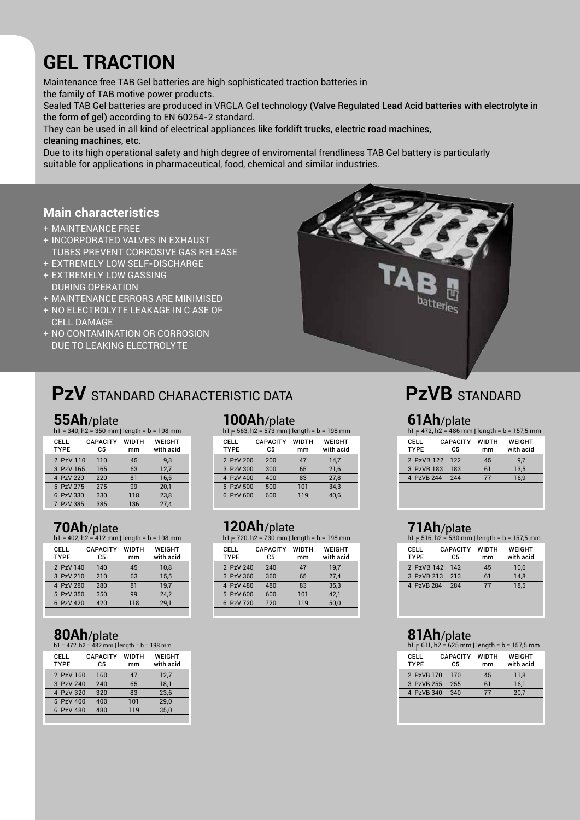# **Gel traction**

Maintenance free TAB Gel batteries are high sophisticated traction batteries in the family of TAB motive power products.

Sealed TAB Gel batteries are produced in VRGLA Gel technology (Valve Regulated Lead Acid batteries with electrolyte in the form of gel) according to EN 60254-2 standard.

They can be used in all kind of electrical appliances like forklift trucks, electric road machines, cleaning machines, etc.

Due to its high operational safety and high degree of enviromental frendliness TAB Gel battery is particularly suitable for applications in pharmaceutical, food, chemical and similar industries.

### **Main characteristics**

- + maintenance free
- + incorporated valves in exhaust tubes prevent corrosive gas release
- + extremely low self-discharge
- + extremely low gassing during operation
- + maintenance errors are minimised
- + no electrolyte leakage in c ase of cell damage
- + no contamination or corrosion due to leaking electrolyte

# **PZV** STANDARD CHARACTERISTIC DATA

**55Ah/plate**<br>h1 = 340, h2 = 350 mm | length = b = 198 mm

| CELL<br><b>TYPE</b> | <b>CAPACITY</b><br>C5 | <b>WIDTH</b><br>mm | WEIGHT<br>with acid |
|---------------------|-----------------------|--------------------|---------------------|
| 2 PzV 110           | 110                   | 45                 | 9.3                 |
| 3 PzV 165           | 165                   | 63                 | 12.7                |
| 4 PzV 220           | 220                   | 81                 | 16.5                |
| 5 PzV 275           | 275                   | 99                 | 20.1                |
| 6 PzV 330           | 330                   | 118                | 23.8                |
| 7 PzV 385           | 385                   | 136                | 27.4                |

### **70Ah**/plate

 $h1 = 402$ ,  $h2 = 412$  mm | length = b = 198 mm

| CELL<br><b>TYPE</b> | <b>CAPACITY</b><br>C5 | <b>WIDTH</b><br>mm | <b>WEIGHT</b><br>with acid |
|---------------------|-----------------------|--------------------|----------------------------|
| 2 PzV 140           | 140                   | 45                 | 10.8                       |
| 3 PzV 210           | 210                   | 63                 | 15.5                       |
| 4 PzV 280           | 280                   | 81                 | 19.7                       |
| 5 PzV 350           | 350                   | 99                 | 24,2                       |
| 6 PzV 420           | 420                   | 118                | 29.1                       |

### **80Ah**/plate

 $h1 = 472$ ,  $h2 = 482$  mm | length = b = 198 mm

| CELL<br><b>TYPE</b> | <b>CAPACITY</b><br>C5 | <b>WIDTH</b><br>mm | WEIGHT<br>with acid |
|---------------------|-----------------------|--------------------|---------------------|
| 2 PzV 160           | 160                   | 47                 | 12,7                |
| 3 PzV 240           | 240                   | 65                 | 18.1                |
| 4 PzV 320           | 320                   | 83                 | 23.6                |
| 5 PzV 400           | 400                   | 101                | 29.0                |
| 6 PzV 480           | 480                   | 119                | 35.0                |
|                     |                       |                    |                     |

### **100Ah**/plate

h1  $=$  563, h2 = 573 mm | length = b = 198 mm

| <b>CAPACITY</b><br>C5 | <b>WIDTH</b><br>mm                                            | WEIGHT<br>with acid |
|-----------------------|---------------------------------------------------------------|---------------------|
| 200                   | 47                                                            | 14.7                |
| 300                   | 65                                                            | 21.6                |
| 400                   | 83                                                            | 27.8                |
| 500                   | 101                                                           | 34.3                |
| 600                   | 119                                                           | 40.6                |
|                       | 2 PzV 200<br>3 PzV 300<br>4 PzV 400<br>5 PzV 500<br>6 PzV 600 |                     |

### **120Ah**/plate

h1 = 720, h2 = 730 mm | length = b = 198 mm

| CELL<br><b>TYPE</b> | <b>CAPACITY</b><br>C5 | <b>WIDTH</b><br>mm | <b>WEIGHT</b><br>with acid |
|---------------------|-----------------------|--------------------|----------------------------|
| 2 PzV 240           | 240                   | 47                 | 19.7                       |
| 3 PzV 360           | 360                   | 65                 | 27.4                       |
| 4 PzV 480           | 480                   | 83                 | 35.3                       |
| 5 PzV 600           | 600                   | 101                | 42,1                       |
| 6 PzV 720           | 720                   | 119                | 50.0                       |
|                     |                       |                    |                            |



# **PzVB** STANDARD

**61Ah/plate**<br>h1 = 472, h2 = 486 mm | length = b = 157,5 mm

| CEL L<br><b>TYPE</b> | <b>CAPACITY</b><br>C5 | <b>WIDTH</b><br>mm | WEIGHT<br>with acid |
|----------------------|-----------------------|--------------------|---------------------|
| 2 PzVB 122           | 122                   | 45                 | 9.7                 |
| 3 PzVB 183           | 183                   | 61                 | 13.5                |
| 4 PzVB 244           | 244                   | 77                 | 16.9                |
|                      |                       |                    |                     |

### **71Ah**/plate

| $h1 = 516$ , $h2 = 530$ mm   length = $b = 157.5$ mm |                       |                    |                     |  |
|------------------------------------------------------|-----------------------|--------------------|---------------------|--|
| CELL<br><b>TYPE</b>                                  | <b>CAPACITY</b><br>C5 | <b>WIDTH</b><br>mm | WEIGHT<br>with acid |  |
| 2 PzVB 142                                           | <b>142</b>            | 45                 | 10,6                |  |
| 3 PzVB 213                                           | 213                   | 61                 | 14.8                |  |
| 4 PzVB 284                                           | 284                   | 77                 | 18.5                |  |
|                                                      |                       |                    |                     |  |

### **81Ah**/plate

| $h1 = 611$ , $h2 = 625$ mm   length = $b = 157.5$ mm |                       |                    |                     |  |
|------------------------------------------------------|-----------------------|--------------------|---------------------|--|
| CELL<br><b>TYPE</b>                                  | <b>CAPACITY</b><br>C5 | <b>WIDTH</b><br>mm | WEIGHT<br>with acid |  |
| 2 PzVB 170                                           | 170                   | 45                 | 11,8                |  |
| 3 PzVB 255                                           | 255                   | 61                 | 16,1                |  |
| 4 PzVB 340                                           | 340                   | 77                 | 20,7                |  |
|                                                      |                       |                    |                     |  |
|                                                      |                       |                    |                     |  |
|                                                      |                       |                    |                     |  |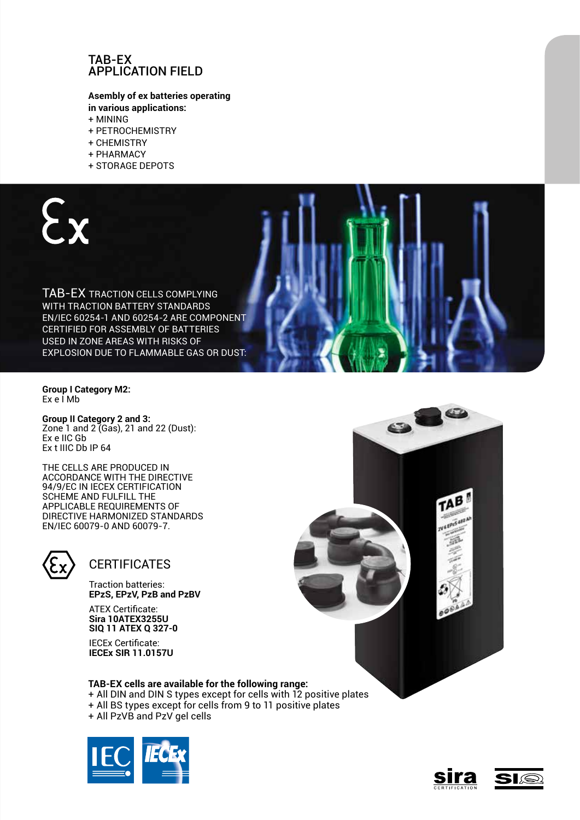### TAB-EX Application field

### **Asembly of ex batteries operating in various applications:**

- + Mining
- + Petrochemistry
- + Chemistry
- + Pharmacy
- + Storage depots



**Group I Category M2:** Ex e I Mb

**Group II Category 2 and 3:**  Zone 1 and 2 (Gas), 21 and 22 (Dust): Ex e IIC Gb Ex t IIIC Db IP 64

The Cells are produced in accordance with the directive 94/9/FC IN IFCFX CFRTIFICATION scheme and fulfill the applicable requirements of directive harmonized standards EN/IEC 60079-0 and 60079-7.



### **CERTIFICATES**

Traction batteries: **EPzS, EPzV, PzB and PzBV**

ATEX Certificate: **Sira 10ATEX3255U SIQ 11 ATEX Q 327-0**

IECEx Certificate: **IECEx SIR 11.0157U**

### **TAB-EX cells are available for the following range:**

- + All DIN and DIN S types except for cells with 12 positive plates
- + All BS types except for cells from 9 to 11 positive plates
- + All PzVB and PzV gel cells





 $\overline{C}$ 

TAB

 $\bullet$